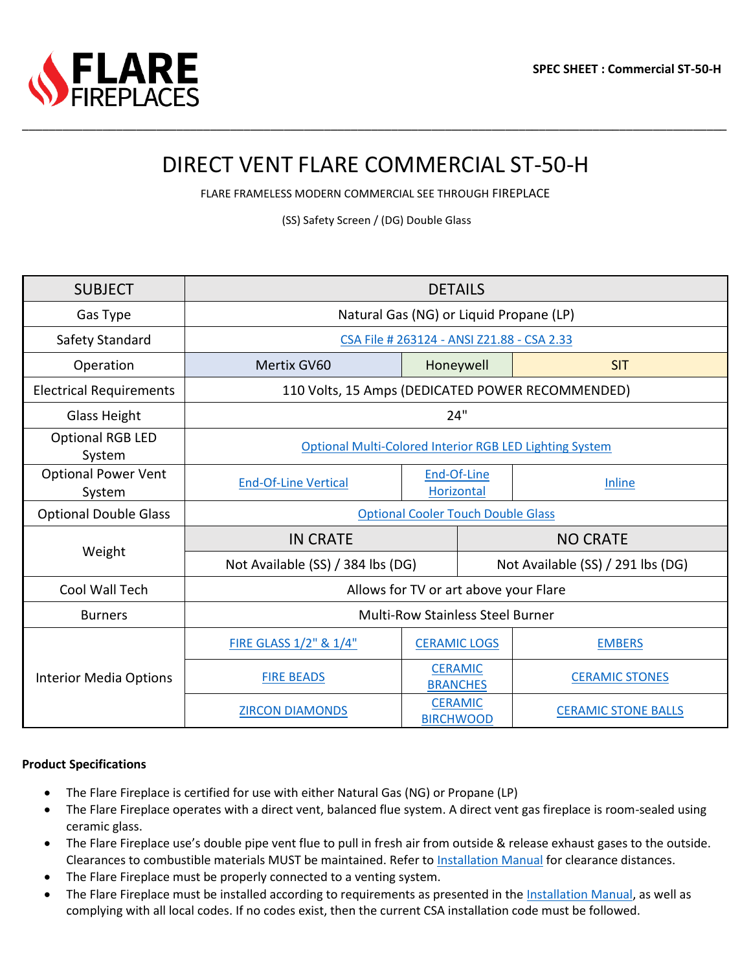# DIRECT VENT FLARE COMMERCIAL ST-50-H

\_\_\_\_\_\_\_\_\_\_\_\_\_\_\_\_\_\_\_\_\_\_\_\_\_\_\_\_\_\_\_\_\_\_\_\_\_\_\_\_\_\_\_\_\_\_\_\_\_\_\_\_\_\_\_\_\_\_\_\_\_\_\_\_\_\_\_\_\_\_\_\_\_\_\_\_\_\_\_\_\_\_\_\_\_\_\_\_\_\_\_\_\_\_\_\_\_\_\_\_\_\_\_\_\_

FLARE FRAMELESS MODERN COMMERCIAL SEE THROUGH FIREPLACE

(SS) Safety Screen / (DG) Double Glass

| <b>SUBJECT</b>                       | <b>DETAILS</b>                                          |                                    |                                   |                            |  |  |  |  |
|--------------------------------------|---------------------------------------------------------|------------------------------------|-----------------------------------|----------------------------|--|--|--|--|
| Gas Type                             | Natural Gas (NG) or Liquid Propane (LP)                 |                                    |                                   |                            |  |  |  |  |
| Safety Standard                      | CSA File # 263124 - ANSI Z21.88 - CSA 2.33              |                                    |                                   |                            |  |  |  |  |
| Operation                            | Mertix GV60                                             | Honeywell                          |                                   | <b>SIT</b>                 |  |  |  |  |
| <b>Electrical Requirements</b>       | 110 Volts, 15 Amps (DEDICATED POWER RECOMMENDED)        |                                    |                                   |                            |  |  |  |  |
| <b>Glass Height</b>                  | 24"                                                     |                                    |                                   |                            |  |  |  |  |
| <b>Optional RGB LED</b><br>System    | Optional Multi-Colored Interior RGB LED Lighting System |                                    |                                   |                            |  |  |  |  |
| <b>Optional Power Vent</b><br>System | <b>End-Of-Line Vertical</b>                             | End-Of-Line<br>Horizontal          |                                   | Inline                     |  |  |  |  |
| <b>Optional Double Glass</b>         | <b>Optional Cooler Touch Double Glass</b>               |                                    |                                   |                            |  |  |  |  |
| Weight                               | <b>IN CRATE</b>                                         |                                    | <b>NO CRATE</b>                   |                            |  |  |  |  |
|                                      | Not Available (SS) / 384 lbs (DG)                       |                                    | Not Available (SS) / 291 lbs (DG) |                            |  |  |  |  |
| Cool Wall Tech                       | Allows for TV or art above your Flare                   |                                    |                                   |                            |  |  |  |  |
| <b>Burners</b>                       | <b>Multi-Row Stainless Steel Burner</b>                 |                                    |                                   |                            |  |  |  |  |
|                                      | FIRE GLASS 1/2" & 1/4"                                  | <b>CERAMIC LOGS</b>                |                                   | <b>EMBERS</b>              |  |  |  |  |
| <b>Interior Media Options</b>        | <b>FIRE BEADS</b>                                       | <b>CERAMIC</b><br><b>BRANCHES</b>  |                                   | <b>CERAMIC STONES</b>      |  |  |  |  |
|                                      | <b>ZIRCON DIAMONDS</b>                                  | <b>CERAMIC</b><br><b>BIRCHWOOD</b> |                                   | <b>CERAMIC STONE BALLS</b> |  |  |  |  |

#### **Product Specifications**

- The Flare Fireplace is certified for use with either Natural Gas (NG) or Propane (LP)
- The Flare Fireplace operates with a direct vent, balanced flue system. A direct vent gas fireplace is room-sealed using ceramic glass.
- The Flare Fireplace use's double pipe vent flue to pull in fresh air from outside & release exhaust gases to the outside. Clearances to combustible materials MUST be maintained. Refer to [Installation Manual](https://flarefireplaces.com/install_manual) for clearance distances.
- The Flare Fireplace must be properly connected to a venting system.
- The Flare Fireplace must be installed according to requirements as presented in the [Installation Manual,](https://flarefireplaces.com/install_manual) as well as complying with all local codes. If no codes exist, then the current CSA installation code must be followed.